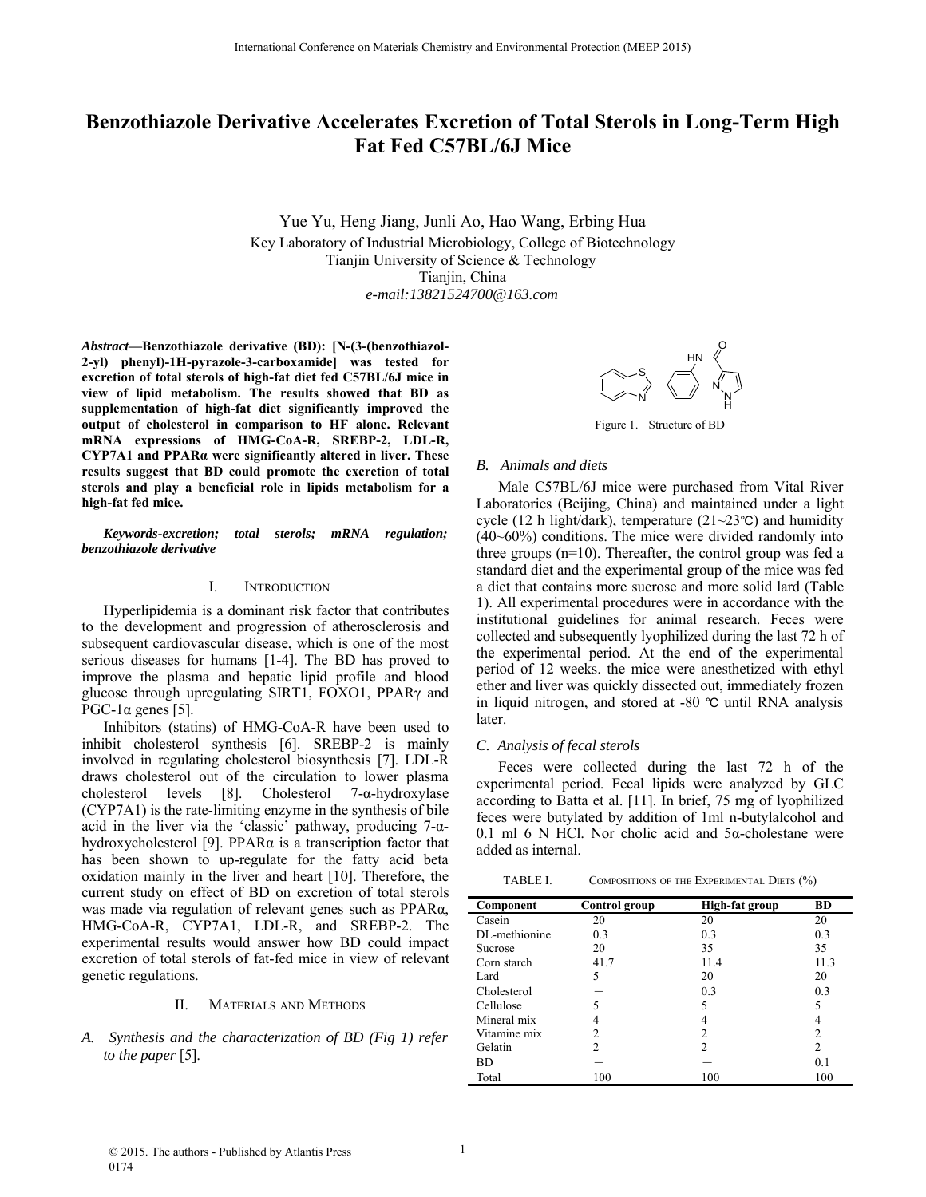# **Benzothiazole Derivative Accelerates Excretion of Total Sterols in Long-Term High Fat Fed C57BL/6J Mice**

Yue Yu, Heng Jiang, Junli Ao, Hao Wang, Erbing Hua Key Laboratory of Industrial Microbiology, College of Biotechnology Tianjin University of Science & Technology Tianjin, China *e-mail:13821524700@163.com*

*Abstract***—Benzothiazole derivative (BD): [N-(3-(benzothiazol-2-yl) phenyl)-1H-pyrazole-3-carboxamide] was tested for excretion of total sterols of high-fat diet fed C57BL/6J mice in view of lipid metabolism. The results showed that BD as supplementation of high-fat diet significantly improved the output of cholesterol in comparison to HF alone. Relevant mRNA expressions of HMG-CoA-R, SREBP-2, LDL-R, CYP7A1 and PPARα were significantly altered in liver. These results suggest that BD could promote the excretion of total sterols and play a beneficial role in lipids metabolism for a high-fat fed mice.**

*Keywords-excretion; total sterols; mRNA regulation; benzothiazole derivative*

## I. INTRODUCTION

Hyperlipidemia is a dominant risk factor that contributes to the development and progression of atherosclerosis and subsequent cardiovascular disease, which is one of the most serious diseases for humans [1-4]. The BD has proved to improve the plasma and hepatic lipid profile and blood glucose through upregulating SIRT1, FOXO1, PPARγ and PGC-1 $α$  genes [5].

Inhibitors (statins) of HMG-CoA-R have been used to inhibit cholesterol synthesis [6]. SREBP-2 is mainly involved in regulating cholesterol biosynthesis [7]. LDL-R draws cholesterol out of the circulation to lower plasma cholesterol levels [8]. Cholesterol 7-α-hydroxylase (CYP7A1) is the rate-limiting enzyme in the synthesis of bile acid in the liver via the 'classic' pathway, producing  $7-\alpha$ hydroxycholesterol [9]. PPARα is a transcription factor that has been shown to up-regulate for the fatty acid beta oxidation mainly in the liver and heart [10]. Therefore, the current study on effect of BD on excretion of total sterols was made via regulation of relevant genes such as PPARα, HMG-CoA-R, CYP7A1, LDL-R, and SREBP-2. The experimental results would answer how BD could impact excretion of total sterols of fat-fed mice in view of relevant genetic regulations.

#### II. MATERIALS AND METHODS

## *A. Synthesis and the characterization of BD (Fig 1) refer to the paper* [5].



Figure 1. Structure of BD

#### *B. Animals and diets*

Male C57BL/6J mice were purchased from Vital River Laboratories (Beijing, China) and maintained under a light cycle (12 h light/dark), temperature (21~23 °C) and humidity (40~60%) conditions. The mice were divided randomly into three groups (n=10). Thereafter, the control group was fed a standard diet and the experimental group of the mice was fed a diet that contains more sucrose and more solid lard (Table 1). All experimental procedures were in accordance with the institutional guidelines for animal research. Feces were collected and subsequently lyophilized during the last 72 h of the experimental period. At the end of the experimental period of 12 weeks. the mice were anesthetized with ethyl ether and liver was quickly dissected out, immediately frozen in liquid nitrogen, and stored at  $-80$  °C until RNA analysis later.

### *C. Analysis of fecal sterols*

Feces were collected during the last 72 h of the experimental period. Fecal lipids were analyzed by GLC according to Batta et al. [11]. In brief, 75 mg of lyophilized feces were butylated by addition of 1ml n-butylalcohol and 0.1 ml 6 N HCl. Nor cholic acid and  $5\alpha$ -cholestane were added as internal.

TABLE I. COMPOSITIONS OF THE EXPERIMENTAL DIETS  $(\%)$ 

| Component     | Control group | High-fat group | <b>BD</b> |
|---------------|---------------|----------------|-----------|
| Casein        | 20            | 20             | 20        |
| DL-methionine | 0.3           | 0.3            | 0.3       |
| Sucrose       | 20            | 35             | 35        |
| Corn starch   | 41.7          | 11.4           | 11.3      |
| Lard          | 5             | 20             | 20        |
| Cholesterol   |               | 0.3            | 0.3       |
| Cellulose     |               | 5              | 5         |
| Mineral mix   |               |                |           |
| Vitamine mix  |               | 2              | 2         |
| Gelatin       |               | 2              | 2         |
| BD.           |               |                | 0.1       |
| Total         | 100           | 100            | 100       |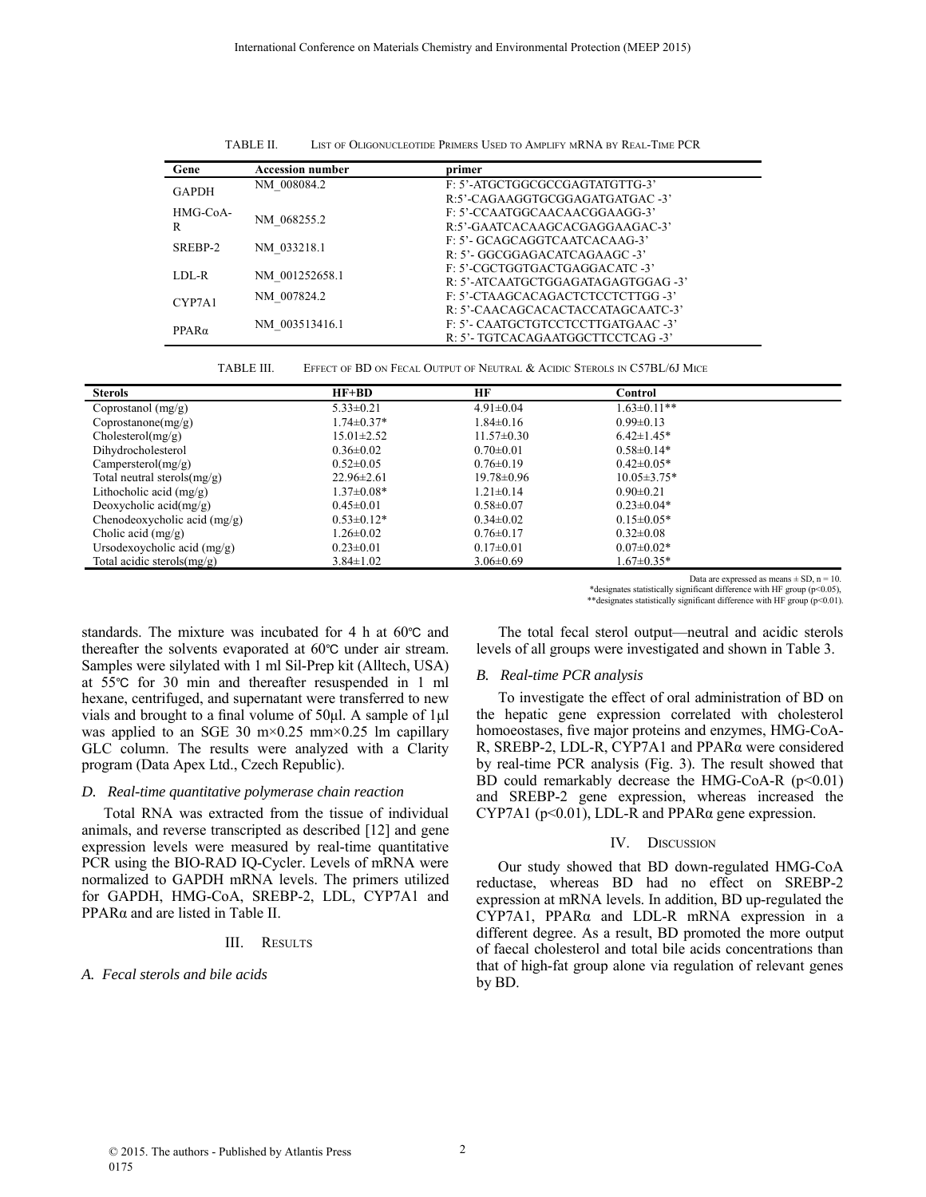| TABLE II. | LIST OF OLIGONUCLEOTIDE PRIMERS USED TO AMPLIFY MRNA BY REAL-TIME PCR |  |  |  |
|-----------|-----------------------------------------------------------------------|--|--|--|
|-----------|-----------------------------------------------------------------------|--|--|--|

| Gene          | <b>Accession number</b> | primer                             |
|---------------|-------------------------|------------------------------------|
| <b>GAPDH</b>  | NM 008084.2             | F: 5'-ATGCTGGCGCCGAGTATGTTG-3'     |
|               |                         | R:5'-CAGAAGGTGCGGAGATGATGAC-3'     |
| HMG-CoA-<br>R | NM 068255.2             | F: 5'-CCAATGGCAACAACGGAAGG-3'      |
|               |                         | R:5'-GAATCACAAGCACGAGGAAGAC-3'     |
| SREBP-2       | NM 033218.1             | F: 5'- GCAGCAGGTCAATCACAAG-3'      |
|               |                         | R: 5'- GGCGGAGACATCAGAAGC -3'      |
| $LDL-R$       | NM 001252658.1          | F: 5'-CGCTGGTGACTGAGGACATC -3'     |
|               |                         | R: 5'-ATCAATGCTGGAGATAGAGTGGAG -3' |
| CYP7A1        | NM 007824.2             | F: 5'-CTAAGCACAGACTCTCCTCTTGG -3'  |
|               |                         | R: 5'-CAACAGCACACTACCATAGCAATC-3'  |
| $PPAR\alpha$  | NM 003513416.1          | F: 5'- CAATGCTGTCCTCCTTGATGAAC -3' |
|               |                         | R: 5'- TGTCACAGAATGGCTTCCTCAG -3'  |

TABLE III. EFFECT OF BD ON FECAL OUTPUT OF NEUTRAL & ACIDIC STEROLS IN C57BL/6J MICE

| <b>Sterols</b>                  | $HF+BD$          | НF               | Control           |
|---------------------------------|------------------|------------------|-------------------|
| Coprostanol $(mg/g)$            | $5.33 \pm 0.21$  | $4.91 \pm 0.04$  | $1.63 \pm 0.11**$ |
| Conrotationone(mg/g)            | $1.74 \pm 0.37*$ | $1.84 \pm 0.16$  | $0.99 \pm 0.13$   |
| Cholesterol(mg/g)               | $15.01 \pm 2.52$ | $11.57 \pm 0.30$ | $6.42 \pm 1.45*$  |
| Dihydrocholesterol              | $0.36 \pm 0.02$  | $0.70 \pm 0.01$  | $0.58 \pm 0.14*$  |
| Campersterol(mg/g)              | $0.52 \pm 0.05$  | $0.76 \pm 0.19$  | $0.42\pm0.05*$    |
| Total neutral sterols $(mg/g)$  | $22.96 \pm 2.61$ | $19.78 \pm 0.96$ | $10.05 \pm 3.75*$ |
| Lithocholic acid $(mg/g)$       | $1.37 \pm 0.08*$ | $1.21 \pm 0.14$  | $0.90 \pm 0.21$   |
| Deoxycholic $\text{acid}(mg/g)$ | $0.45 \pm 0.01$  | $0.58 \pm 0.07$  | $0.23 \pm 0.04*$  |
| Chenodeoxycholic acid $(mg/g)$  | $0.53 \pm 0.12*$ | $0.34\pm0.02$    | $0.15 \pm 0.05*$  |
| Cholic acid $(mg/g)$            | $1.26 \pm 0.02$  | $0.76 \pm 0.17$  | $0.32 \pm 0.08$   |
| Ursodexoycholic acid $(mg/g)$   | $0.23 \pm 0.01$  | $0.17 \pm 0.01$  | $0.07 \pm 0.02*$  |
| Total acidic sterols $(mg/g)$   | $3.84 \pm 1.02$  | $3.06 \pm 0.69$  | $1.67\pm0.35*$    |

Data are expressed as means  $\pm$  SD,  $n = 10$ .

\*designates statistically significant difference with HF group (p<0.05),

\*\*designates statistically significant difference with HF group (p<0.01).

standards. The mixture was incubated for 4 h at  $60^{\circ}$ C and thereafter the solvents evaporated at 60°C under air stream. Samples were silylated with 1 ml Sil-Prep kit (Alltech, USA) at 55℃ for 30 min and thereafter resuspended in 1 ml hexane, centrifuged, and supernatant were transferred to new vials and brought to a final volume of 50μl. A sample of 1μl was applied to an SGE 30 m $\times$ 0.25 mm $\times$ 0.25 lm capillary GLC column. The results were analyzed with a Clarity program (Data Apex Ltd., Czech Republic).

## *D. Real-time quantitative polymerase chain reaction*

Total RNA was extracted from the tissue of individual animals, and reverse transcripted as described [12] and gene expression levels were measured by real-time quantitative PCR using the BIO-RAD IQ-Cycler. Levels of mRNA were normalized to GAPDH mRNA levels. The primers utilized for GAPDH, HMG-CoA, SREBP-2, LDL, CYP7A1 and PPARα and are listed in Table II.

## III. RESULTS

## *A. Fecal sterols and bile acids*

The total fecal sterol output—neutral and acidic sterols levels of all groups were investigated and shown in Table 3.

#### *B. Real-time PCR analysis*

To investigate the effect of oral administration of BD on the hepatic gene expression correlated with cholesterol homoeostases, five major proteins and enzymes, HMG-CoA-R, SREBP-2, LDL-R, CYP7A1 and PPARα were considered by real-time PCR analysis (Fig. 3). The result showed that BD could remarkably decrease the HMG-CoA-R  $(p<0.01)$ and SREBP-2 gene expression, whereas increased the CYP7A1 ( $p<0.01$ ), LDL-R and PPAR $\alpha$  gene expression.

#### IV. DISCUSSION

Our study showed that BD down-regulated HMG-CoA reductase, whereas BD had no effect on SREBP-2 expression at mRNA levels. In addition, BD up-regulated the CYP7A1, PPARα and LDL-R mRNA expression in a different degree. As a result, BD promoted the more output of faecal cholesterol and total bile acids concentrations than that of high-fat group alone via regulation of relevant genes by BD.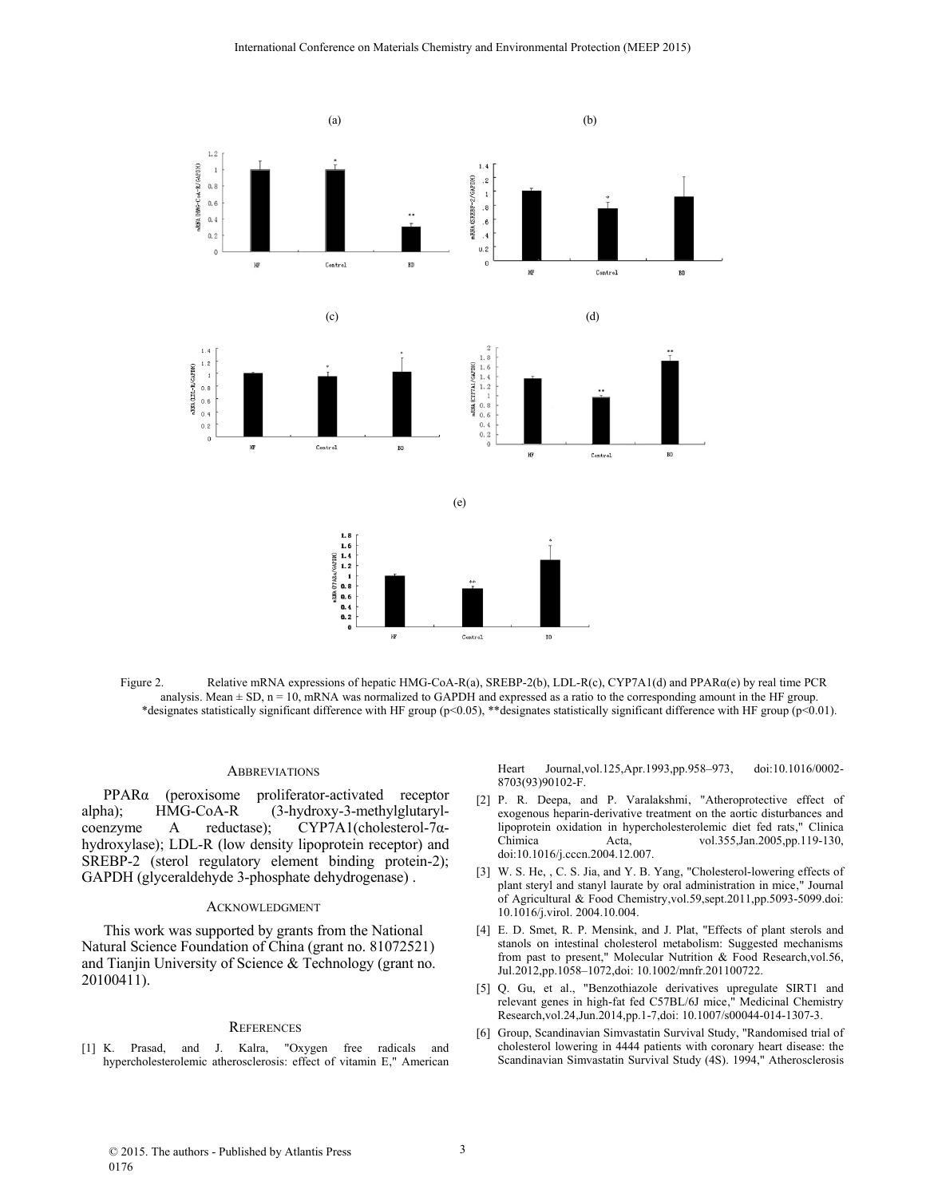

Figure 2. Relative mRNA expressions of hepatic HMG-CoA-R(a), SREBP-2(b), LDL-R(c), CYP7A1(d) and PPAR $\alpha$ (e) by real time PCR analysis. Mean  $\pm$  SD, n = 10, mRNA was normalized to GAPDH and expressed as a ratio to the corresponding amount in the HF group. \*designates statistically significant difference with HF group (p<0.05), \*\*designates statistically significant difference with HF group (p<0.01).

## **ABBREVIATIONS**

PPARα (peroxisome proliferator-activated receptor alpha); HMG-CoA-R (3-hydroxy-3-methylglutarylcoenzyme A reductase); CYP7A1(cholesterol-7αhydroxylase); LDL-R (low density lipoprotein receptor) and SREBP-2 (sterol regulatory element binding protein-2); GAPDH (glyceraldehyde 3-phosphate dehydrogenase) .

#### ACKNOWLEDGMENT

This work was supported by grants from the National Natural Science Foundation of China (grant no. 81072521) and Tianjin University of Science & Technology (grant no. 20100411).

#### **REFERENCES**

[1] K. Prasad, and J. Kalra, "Oxygen free radicals and hypercholesterolemic atherosclerosis: effect of vitamin E," American Heart Journal,vol.125,Apr.1993,pp.958–973, doi:10.1016/0002- 8703(93)90102-F.

- [2] P. R. Deepa, and P. Varalakshmi, "Atheroprotective effect of exogenous heparin-derivative treatment on the aortic disturbances and lipoprotein oxidation in hypercholesterolemic diet fed rats," Clinica Chimica Acta, vol.355,Jan.2005,pp.119-130, doi:10.1016/j.cccn.2004.12.007.
- [3] W. S. He, , C. S. Jia, and Y. B. Yang, "Cholesterol-lowering effects of plant steryl and stanyl laurate by oral administration in mice," Journal of Agricultural & Food Chemistry,vol.59,sept.2011,pp.5093-5099.doi: 10.1016/j.virol. 2004.10.004.
- [4] E. D. Smet, R. P. Mensink, and J. Plat, "Effects of plant sterols and stanols on intestinal cholesterol metabolism: Suggested mechanisms from past to present," Molecular Nutrition & Food Research,vol.56, Jul.2012,pp.1058–1072,doi: 10.1002/mnfr.201100722.
- [5] Q. Gu, et al., "Benzothiazole derivatives upregulate SIRT1 and relevant genes in high-fat fed C57BL/6J mice," Medicinal Chemistry Research,vol.24,Jun.2014,pp.1-7,doi: 10.1007/s00044-014-1307-3.
- [6] Group, Scandinavian Simvastatin Survival Study, "Randomised trial of cholesterol lowering in 4444 patients with coronary heart disease: the Scandinavian Simvastatin Survival Study (4S). 1994," Atherosclerosis